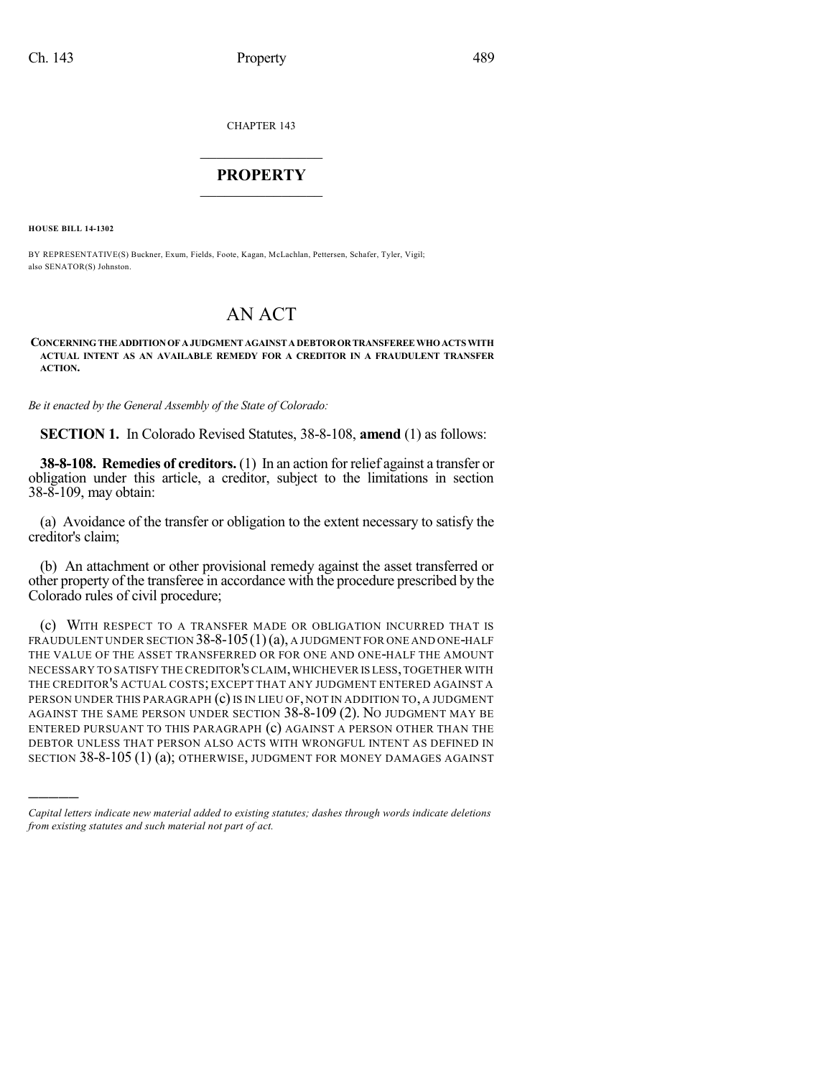CHAPTER 143

## $\mathcal{L}_\text{max}$  . The set of the set of the set of the set of the set of the set of the set of the set of the set of the set of the set of the set of the set of the set of the set of the set of the set of the set of the set **PROPERTY**  $\_$   $\_$   $\_$   $\_$   $\_$   $\_$   $\_$   $\_$   $\_$

**HOUSE BILL 14-1302**

)))))

BY REPRESENTATIVE(S) Buckner, Exum, Fields, Foote, Kagan, McLachlan, Pettersen, Schafer, Tyler, Vigil; also SENATOR(S) Johnston.

## AN ACT

## **CONCERNINGTHEADDITIONOF AJUDGMENTAGAINSTADEBTORORTRANSFEREEWHOACTSWITH ACTUAL INTENT AS AN AVAILABLE REMEDY FOR A CREDITOR IN A FRAUDULENT TRANSFER ACTION.**

*Be it enacted by the General Assembly of the State of Colorado:*

**SECTION 1.** In Colorado Revised Statutes, 38-8-108, **amend** (1) as follows:

**38-8-108. Remedies of creditors.** (1) In an action for relief against a transfer or obligation under this article, a creditor, subject to the limitations in section 38-8-109, may obtain:

(a) Avoidance of the transfer or obligation to the extent necessary to satisfy the creditor's claim;

(b) An attachment or other provisional remedy against the asset transferred or other property of the transferee in accordance with the procedure prescribed by the Colorado rules of civil procedure;

(c) WITH RESPECT TO A TRANSFER MADE OR OBLIGATION INCURRED THAT IS FRAUDULENT UNDER SECTION  $38-8-105(1)(a)$ , A JUDGMENT FOR ONE AND ONE-HALF THE VALUE OF THE ASSET TRANSFERRED OR FOR ONE AND ONE-HALF THE AMOUNT NECESSARY TO SATISFY THE CREDITOR'SCLAIM,WHICHEVER IS LESS,TOGETHER WITH THE CREDITOR'S ACTUAL COSTS; EXCEPT THAT ANY JUDGMENT ENTERED AGAINST A PERSON UNDER THIS PARAGRAPH (c) IS IN LIEU OF, NOT IN ADDITION TO, A JUDGMENT AGAINST THE SAME PERSON UNDER SECTION 38-8-109 (2). NO JUDGMENT MAY BE ENTERED PURSUANT TO THIS PARAGRAPH (c) AGAINST A PERSON OTHER THAN THE DEBTOR UNLESS THAT PERSON ALSO ACTS WITH WRONGFUL INTENT AS DEFINED IN SECTION 38-8-105 (1) (a); OTHERWISE, JUDGMENT FOR MONEY DAMAGES AGAINST

*Capital letters indicate new material added to existing statutes; dashes through words indicate deletions from existing statutes and such material not part of act.*